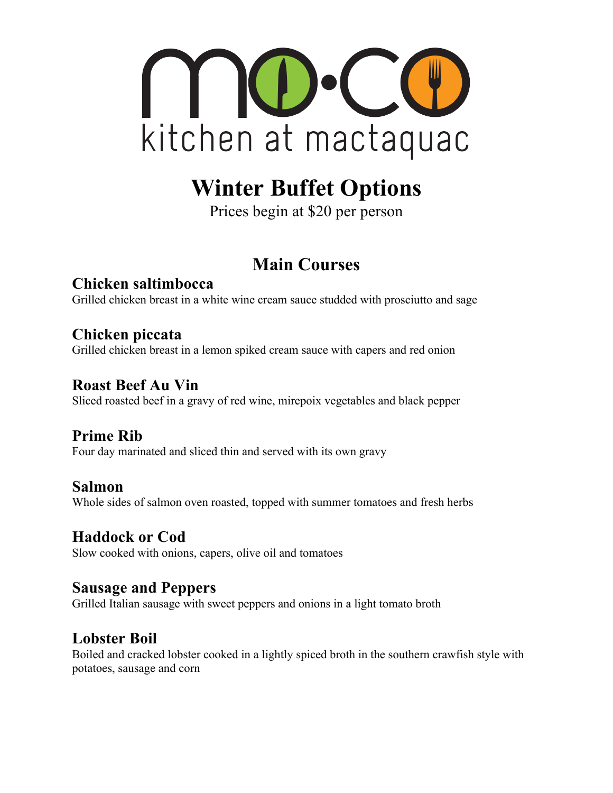

# **Winter Buffet Options**

Prices begin at \$20 per person

# **Main Courses**

**Chicken saltimbocca** Grilled chicken breast in a white wine cream sauce studded with prosciutto and sage

### **Chicken piccata**

Grilled chicken breast in a lemon spiked cream sauce with capers and red onion

#### **Roast Beef Au Vin**

Sliced roasted beef in a gravy of red wine, mirepoix vegetables and black pepper

### **Prime Rib**

Four day marinated and sliced thin and served with its own gravy

#### **Salmon**

Whole sides of salmon oven roasted, topped with summer tomatoes and fresh herbs

#### **Haddock or Cod**

Slow cooked with onions, capers, olive oil and tomatoes

#### **Sausage and Peppers**

Grilled Italian sausage with sweet peppers and onions in a light tomato broth

#### **Lobster Boil**

Boiled and cracked lobster cooked in a lightly spiced broth in the southern crawfish style with potatoes, sausage and corn